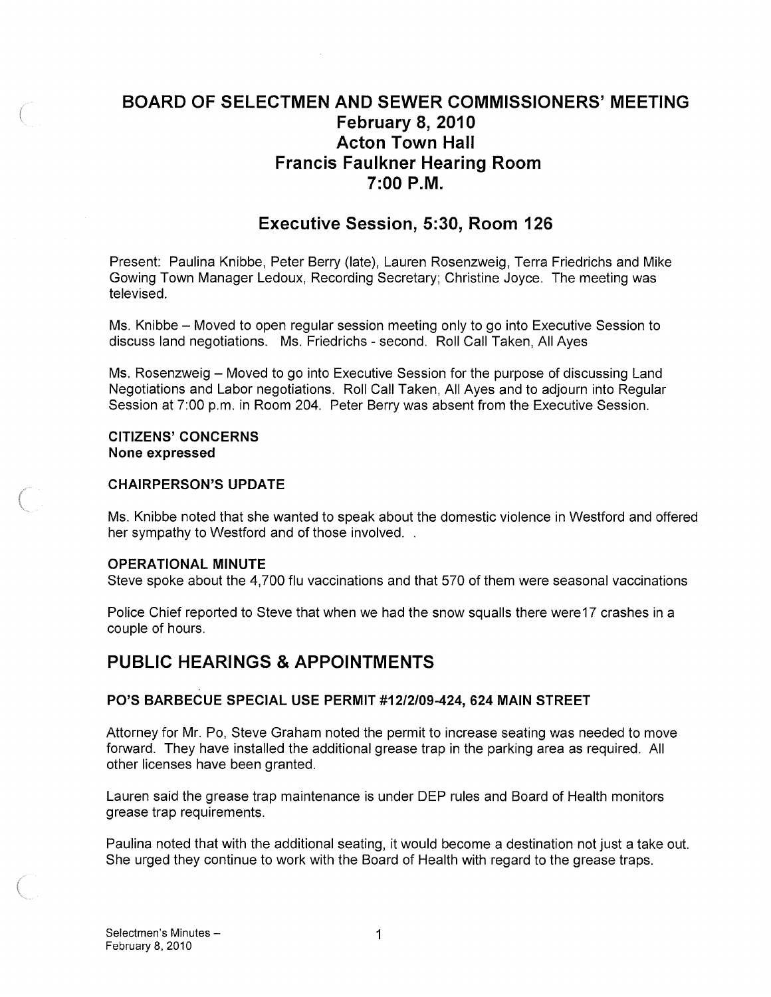# BOARD OF SELECTMEN AND SEWER COMMISSIONERS' MEETING February 8, 2010 Acton Town Hall Francis Faulkner Hearing Room 7:00 PM.

# Executive Session, 5:30, Room 126

Present: Paulina Knibbe, Peter Berry (late), Lauren Rosenzweig, Terra Friedrichs and Mike Gowing Town Manager Ledoux, Recording Secretary; Christine Joyce. The meeting was televised.

Ms. Knibbe — Moved to open regular session meeting only to go into Executive Session to discuss land negotiations. Ms. Friedrichs - second. Roll Call Taken, All Ayes

Ms. Rosenzweig — Moved to go into Executive Session for the purpose of discussing Land Negotiations and Labor negotiations. Roll Call Taken, All Ayes and to adjourn into Regular Session at 7:00 p.m. in Room 204. Peter Berry was absent from the Executive Session.

#### CITIZENS' CONCERNS None expressed

#### CHAIRPERSON'S UPDATE

Ms. Knibbe noted that she wanted to speak about the domestic violence in Westford and offered her sympathy to Westford and of those involved. .

#### OPERATIONAL MINUTE

Steve spoke about the 4,700 flu vaccinations and that 570 of them were seasonal vaccinations

Police Chief reported to Steve that when we had the snow squalls there werel7 crashes in a couple of hours.

# PUBLIC HEARINGS & APPOINTMENTS

#### P0'S BARBECUE SPECIAL USE PERMIT #1212109-424, 624 MAIN STREET

Attorney for Mr. Po, Steve Graham noted the permit to increase seating was needed to move forward. They have installed the additional grease trap in the parking area as required. All other licenses have been granted.

Lauren said the grease trap maintenance is under DEP rules and Board of Health monitors grease trap requirements.

Paulina noted that with the additional seating, it would become a destination not just a take out. She urged they continue to work with the Board of Health with regard to the grease traps.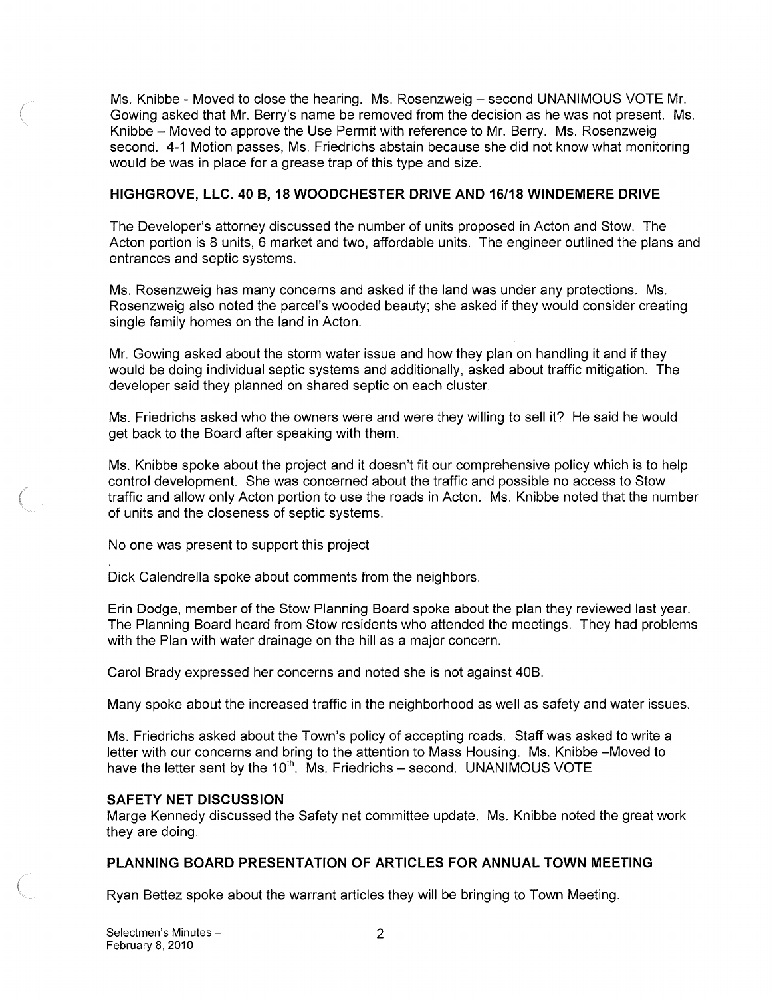Ms. Knibbe - Moved to close the hearing. Ms. Rosenzweig — second UNANIMOUS VOTE Mr. Gowing asked that Mr. Berry's name be removed from the decision as he was not present. Ms. Knibbe — Moved to approve the Use Permit with reference to Mr. Berry. Ms. Rosenzweig second. 4-1 Motion passes, Ms. Friedrichs abstain because she did not know what monitoring would be was in place for a grease trap of this type and size.

## HIGHGROVE, LLC. 40 B, 18 W000CHESTER DRIVE AND 16118 WINDEMERE DRIVE

The Developer's attorney discussed the number of units proposed in Acton and Stow. The Acton portion is 8 units, 6 market and two, affordable units. The engineer outlined the plans and entrances and septic systems.

Ms. Rosenzweig has many concerns and asked if the land was under any protections. Ms. Rosenzweig also noted the parcel's wooded beauty; she asked if they would consider creating single family homes on the land in Acton.

Mr. Gowing asked about the storm water issue and how they plan on handling it and if they would be doing individual septic systems and additionally, asked about traffic mitigation. The developer said they planned on shared septic on each cluster.

Ms. Friedrichs asked who the owners were and were they willing to sell it? He said he would get back to the Board after speaking with them.

Ms. Knibbe spoke about the project and it doesn't fit our comprehensive policy which is to help control development. She was concerned about the traffic and possible no access to Stow traffic and allow only Acton portion to use the roads in Acton. Ms. Knibbe noted that the number of units and the closeness of septic systems.

No one was present to support this project

Dick Calendrella spoke about comments from the neighbors.

Erin Dodge, member of the Stow Planning Board spoke about the plan they reviewed last year. The Planning Board heard from Stow residents who attended the meetings. They had problems with the Plan with water drainage on the hill as a major concern.

Carol Brady expressed her concerns and noted she is not against 40B.

Many spoke about the increased traffic in the neighborhood as well as safety and water issues.

Ms. Friedrichs asked about the Town's policy of accepting roads. Staff was asked to write a letter with our concerns and bring to the attention to Mass Housing. Ms. Knibbe —Moved to have the letter sent by the  $10^{th}$ . Ms. Friedrichs – second. UNANIMOUS VOTE

# SAFETY NET DISCUSSION

Marge Kennedy discussed the Safety net committee update. Ms. Knibbe noted the great work they are doing.

# PLANNING BOARD PRESENTATION OF ARTICLES FOR ANNUAL TOWN MEETING

Ryan Bettez spoke about the warrant articles they will be bringing to Town Meeting.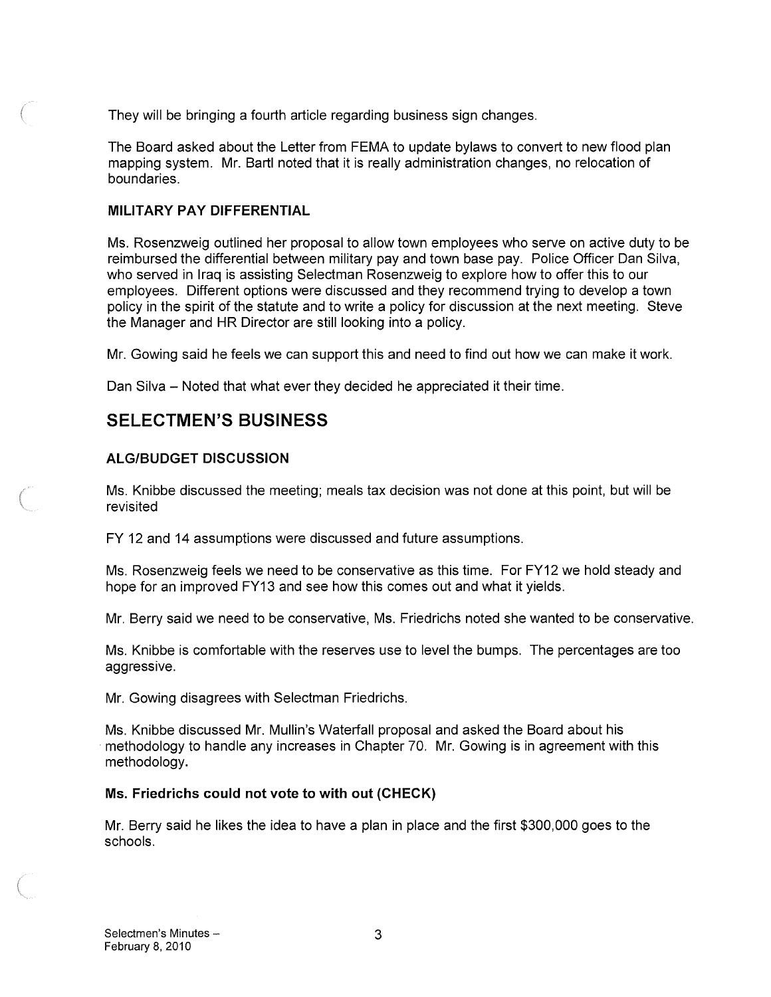They will be bringing a fourth article regarding business sign changes.

The Board asked about the Letter from FEMA to update bylaws to convert to new flood plan mapping system. Mr. Bartl noted that it is really administration changes, no relocation of boundaries.

## MILITARY PAY DIFFERENTIAL

Ms. Rosenzweig outlined her proposal to allow town employees who serve on active duty to be reimbursed the differential between military pay and town base pay. Police Officer Dan Silva, who served in Iraq is assisting Selectman Rosenzweig to explore how to offer this to our employees. Different options were discussed and they recommend trying to develop a town policy in the spirit of the statute and to write a policy for discussion at the next meeting. Steve the Manager and HR Director are still looking into a policy.

Mr. Gowing said he feels we can support this and need to find out how we can make it work.

Dan Silva — Noted that what ever they decided he appreciated it their time.

# SELECTMEN'S BUSINESS

# ALGIBUDGET DISCUSSION

Ms. Knibbe discussed the meeting; meals tax decision was not done at this point, but will be revisited

FY 12 and 14 assumptions were discussed and future assumptions.

Ms. Rosenzweig feels we need to be conservative as this time. For FY12 we hold steady and hope for an improved FY13 and see how this comes out and what it yields.

Mr. Berry said we need to be conservative, Ms. Friedrichs noted she wanted to be conservative.

Ms. Knibbe is comfortable with the reserves use to level the bumps. The percentages are too aggressive.

Mr. Gowing disagrees with Selectman Friedrichs.

Ms. Knibbe discussed Mr. Mullin's Waterfall proposal and asked the Board about his methodology to handle any increases in Chapter 70. Mr. Gowing is in agreement with this methodology.

# Ms. Friedrichs could not vote to with out (CHECK)

Mr. Berry said he likes the idea to have a plan in place and the first \$300,000 goes to the schools.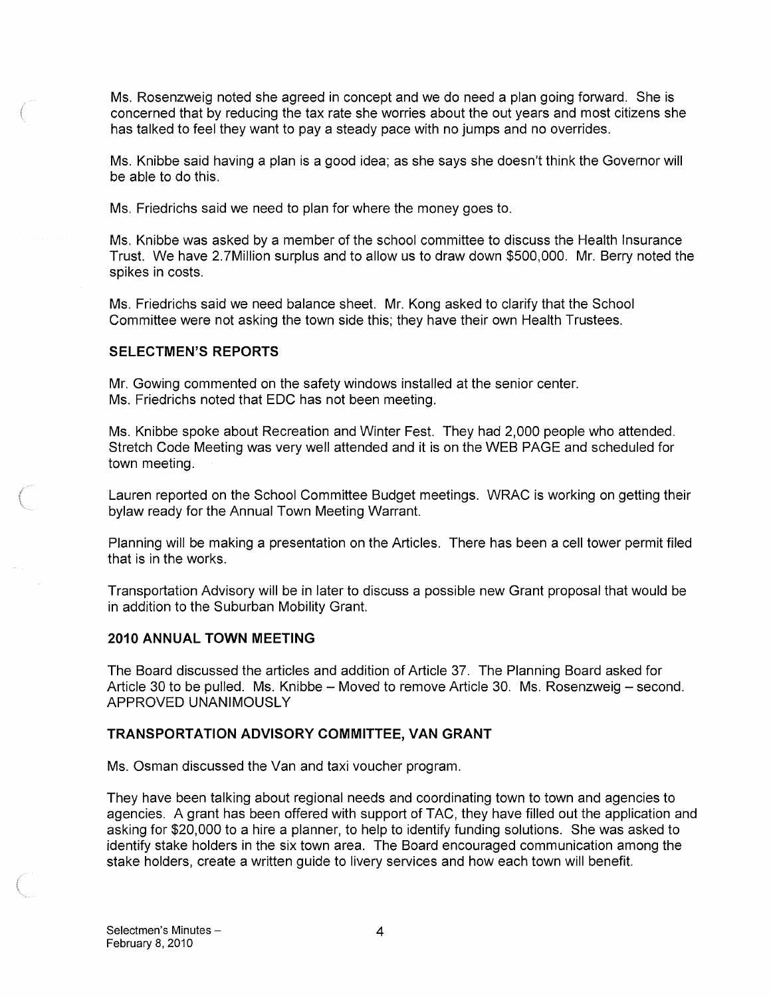Ms. Rosenzweig noted she agreed in concept and we do need a plan going forward. She is concerned that by reducing the tax rate she worries about the out years and most citizens she has talked to feel they want to pay a steady pace with no jumps and no overrides.

Ms. Knibbe said having a plan is a good idea; as she says she doesn't think the Governor will be able to do this.

Ms. Friedrichs said we need to plan for where the money goes to.

Ms. Knibbe was asked by a member of the school committee to discuss the Health Insurance Trust. We have 2.7Million surplus and to allow us to draw down \$500,000. Mr. Berry noted the spikes in costs.

Ms. Friedrichs said we need balance sheet. Mr. Kong asked to clarify that the School Committee were not asking the town side this; they have their own Health Trustees.

#### SELECTMEN'S REPORTS

Mr. Gowing commented on the safety windows installed at the senior center. Ms. Friedrichs noted that EDO has not been meeting.

Ms. Knibbe spoke about Recreation and Winter Fest. They had 2,000 people who attended. Stretch Code Meeting was very well attended and it is on the WEB PAGE and scheduled for town meeting.

Lauren reported on the School Committee Budget meetings. WRAC is working on getting their bylaw ready for the Annual Town Meeting Warrant.

Planning will be making a presentation on the Articles. There has been a cell tower permit filed that is in the works.

Transportation Advisory will be in later to discuss a possible new Grant proposal that would be in addition to the Suburban Mobility Grant.

## 2010 ANNUAL TOWN MEETING

The Board discussed the articles and addition of Article 37. The Planning Board asked for Article 30 to be pulled. Ms. Knibbe — Moved to remove Article 30. Ms. Rosenzweig — second. APPROVED UNANIMOUSLY

#### TRANSPORTATION ADVISORY COMMITTEE, VAN GRANT

Ms. Osman discussed the Van and taxi voucher program.

They have been talking about regional needs and coordinating town to town and agencies to agencies. A grant has been offered with support of TAO, they have filled out the application and asking for \$20,000 to a hire a planner, to help to identify funding solutions. She was asked to identify stake holders in the six town area. The Board encouraged communication among the stake holders, create a written guide to livery services and how each town will benefit.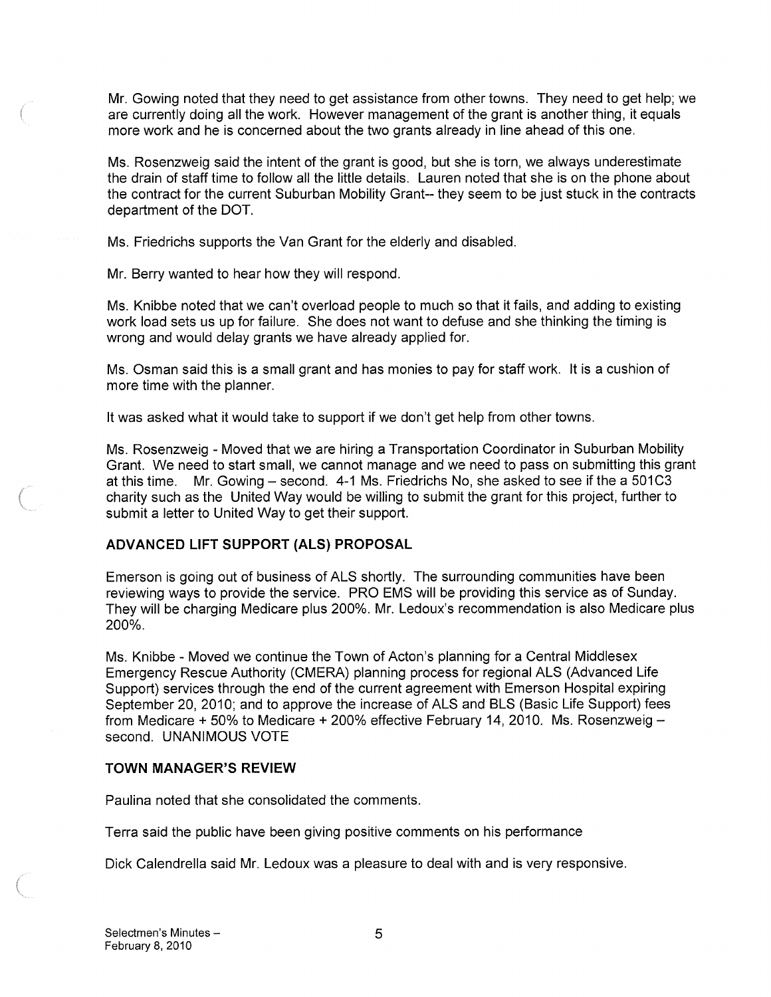Mr. Gowing noted that they need to get assistance from other towns. They need to get help; we are currently doing all the work. However management of the grant is another thing, it equals more work and he is concerned about the two grants already in line ahead of this one.

Ms. Rosenzweig said the intent of the grant is good, but she is torn, we always underestimate the drain of staff time to follow all the little details. Lauren noted that she is on the phone about the contract for the current Suburban Mobility Grant-- they seem to be just stuck in the contracts department of the DOT.

Ms. Friedrichs supports the Van Grant for the elderly and disabled.

Mr. Berry wanted to hear how they will respond.

Ms. Knibbe noted that we can't overload people to much so that it fails, and adding to existing work load sets us up for failure. She does not want to defuse and she thinking the timing is wrong and would delay grants we have already applied for.

Ms. Osman said this is a small grant and has monies to pay for staff work. It is a cushion of more time with the planner.

It was asked what it would take to support if we don't get help from other towns.

Ms. Rosenzweig -Moved that we are hiring a Transportation Coordinator in Suburban Mobility Grant. We need to start small, we cannot manage and we need to pass on submitting this grant at this time. Mr. Gowing — second. 4-1 Ms. Friedrichs No, she asked to see if the a 50103 charity such as the United Way would be willing to submit the grant for this project, further to submit a letter to United Way to get their support.

# ADVANCED LIFT SUPPORT (ALS) PROPOSAL

Emerson is going out of business of ALS shortly. The surrounding communities have been reviewing ways to provide the service. PRO EMS will be providing this service as of Sunday. They will be charging Medicare plus 200%. Mr. Ledoux's recommendation is also Medicare plus 200%.

Ms. Knibbe - Moved we continue the Town of Acton's planning for a Central Middlesex Emergency Rescue Authority (CMERA) planning process for regional ALS (Advanced Life Support) services through the end of the current agreement with Emerson Hospital expiring September 20, 2010; and to approve the increase of ALS and BLS (Basic Life Support) fees from Medicare + 50% to Medicare ÷ 200% effective February 14, 2010. Ms. Rosenzweig second. UNANIMOUS VOTE

# TOWN MANAGER'S REVIEW

Paulina noted that she consolidated the comments.

Terra said the public have been giving positive comments on his performance

Dick Calendrella said Mr. Ledoux was a pleasure to deal with and is very responsive.